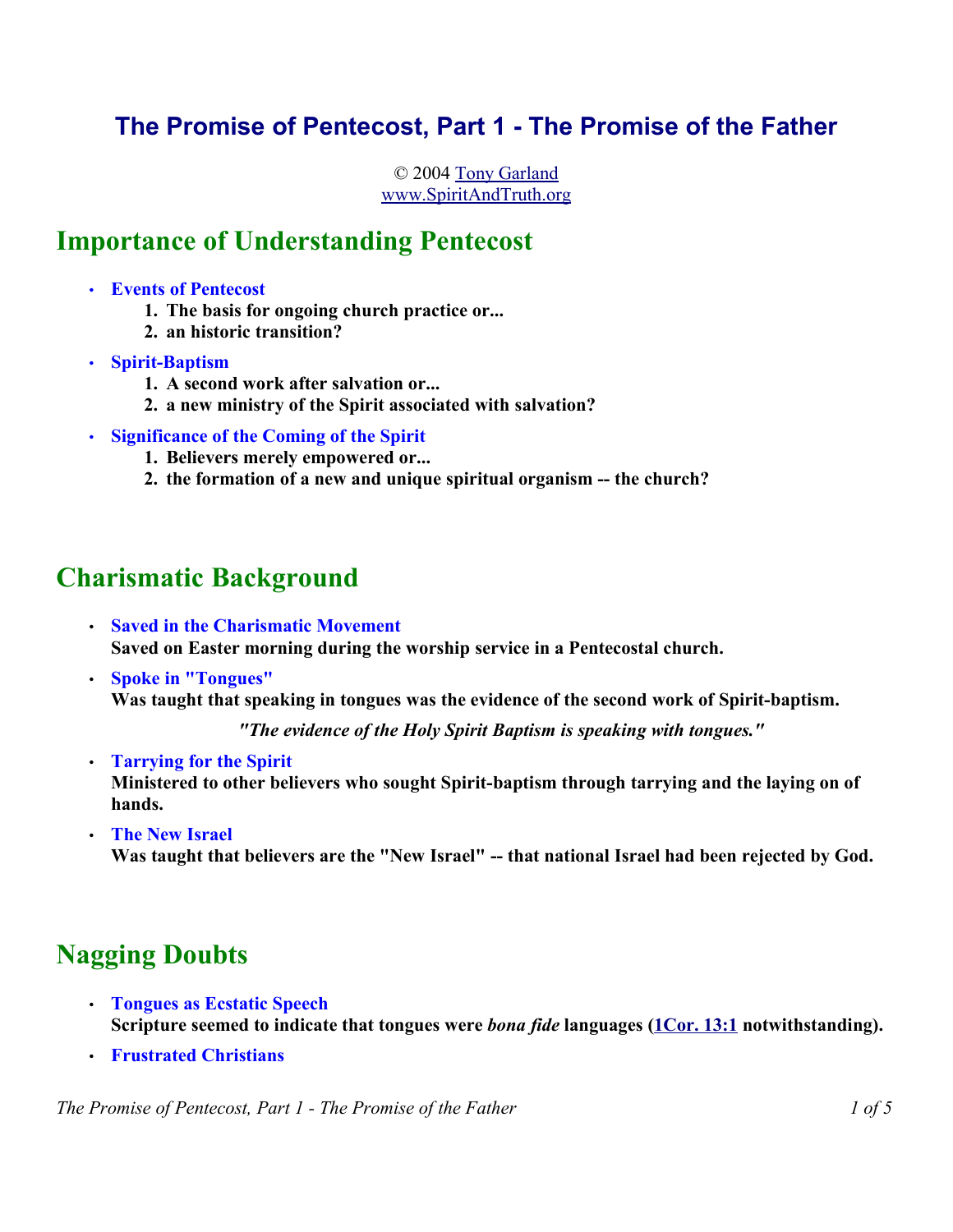## **The Promise of Pentecost, Part 1 - The Promise of the Father**

© 2004 Tony Garland www.SpiritAndTruth.org

## **Importance of Understanding Pentecost**

- **Events of Pentecost** 
	- **1. The basis for ongoing church practice or...**
	- **2. an historic transition?**
- **Spirit-Baptism**
	- **1. A second work after salvation or...**
	- **2. a new ministry of the Spirit associated with salvation?**
- **Significance of the Coming of the Spirit**
	- **1. Believers merely empowered or...**
	- **2. the formation of a new and unique spiritual organism -- the church?**

# **Charismatic Background**

- **Saved in the Charismatic Movement Saved on Easter morning during the worship service in a Pentecostal church.**
- **Spoke in "Tongues" Was taught that speaking in tongues was the evidence of the second work of Spirit-baptism.**

*"The evidence of the Holy Spirit Baptism is speaking with tongues."*

- **Tarrying for the Spirit Ministered to other believers who sought Spirit-baptism through tarrying and the laying on of hands.**
- **The New Israel** Was taught that believers are the "New Israel" -- that national Israel had been rejected by God.

# **Nagging Doubts**

- **Tongues as Ecstatic Speech Scripture seemed to indicate that tongues were** *bona fide* **languages (1Cor. 13:1 notwithstanding).**
- **Frustrated Christians**

*The Promise of Pentecost, Part 1 - The Promise of the Father 1 of 5*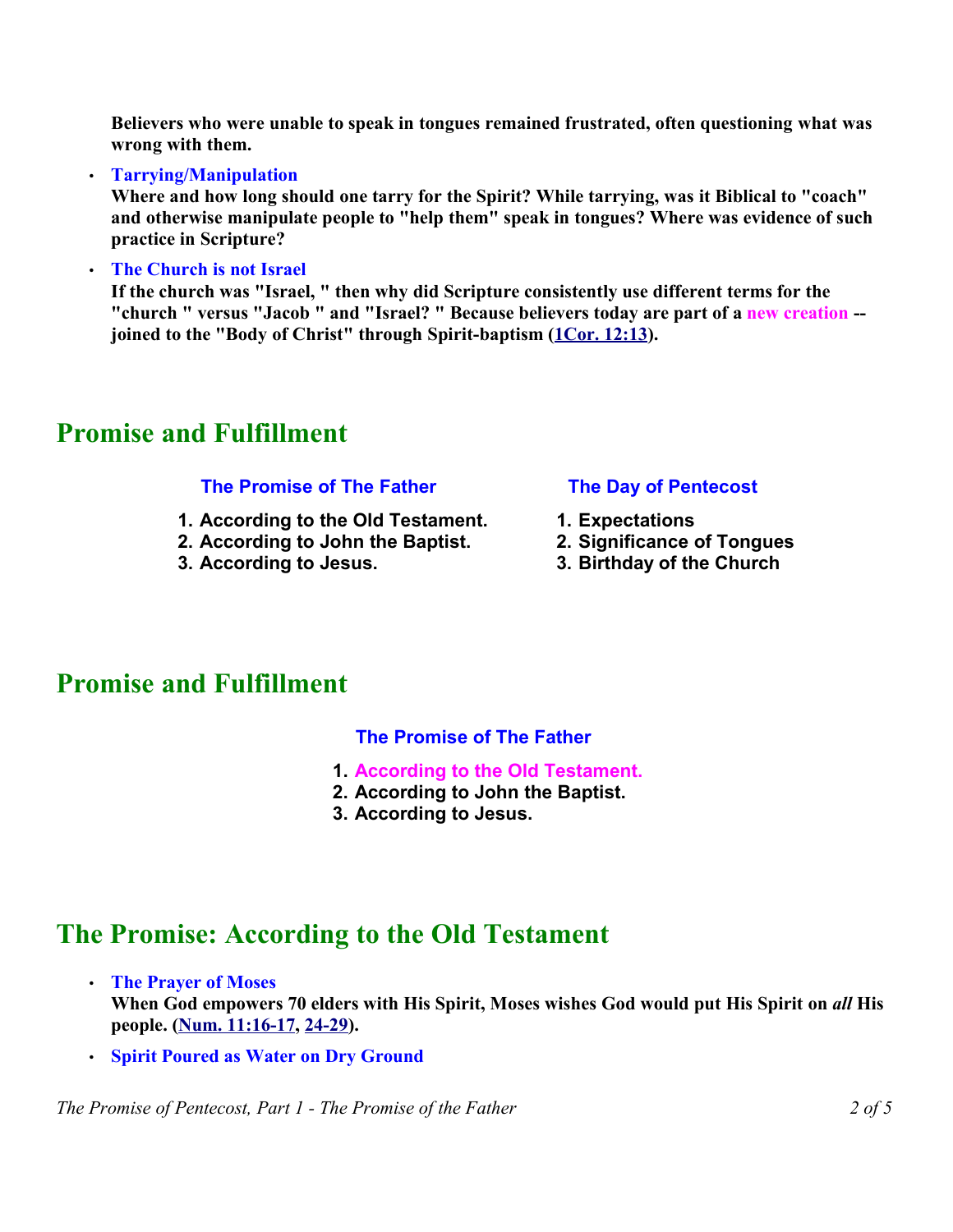**Believers who were unable to speak in tongues remained frustrated, often questioning what was wrong with them.**

#### • **Tarrying/Manipulation**

**Where and how long should one tarry for the Spirit? While tarrying, was it Biblical to "coach" and otherwise manipulate people to "help them" speak in tongues? Where was evidence of such practice in Scripture?** 

#### • **The Church is not Israel**

**If the church was "Israel, " then why did Scripture consistently use different terms for the "church " versus "Jacob " and "Israel? " Because believers today are part of a new creation - joined to the "Body of Christ" through Spirit-baptism (1Cor. 12:13).** 

## **Promise and Fulfillment**

### **The Promise of The Father**

- **1. According to the Old Testament.**
- **2. According to John the Baptist.**
- **3. According to Jesus.**

### **The Day of Pentecost**

- **1. Expectations**
- **2. Significance of Tongues**
- **3. Birthday of the Church**

## **Promise and Fulfillment**

### **The Promise of The Father**

- **1. According to the Old Testament.**
- **2. According to John the Baptist.**
- **3. According to Jesus.**

## **The Promise: According to the Old Testament**

- **The Prayer of Moses When God empowers 70 elders with His Spirit, Moses wishes God would put His Spirit on** *all* **His people. (Num. 11:16-17, 24-29).**
- **Spirit Poured as Water on Dry Ground**

*The Promise of Pentecost, Part 1 - The Promise of the Father 2 of 5*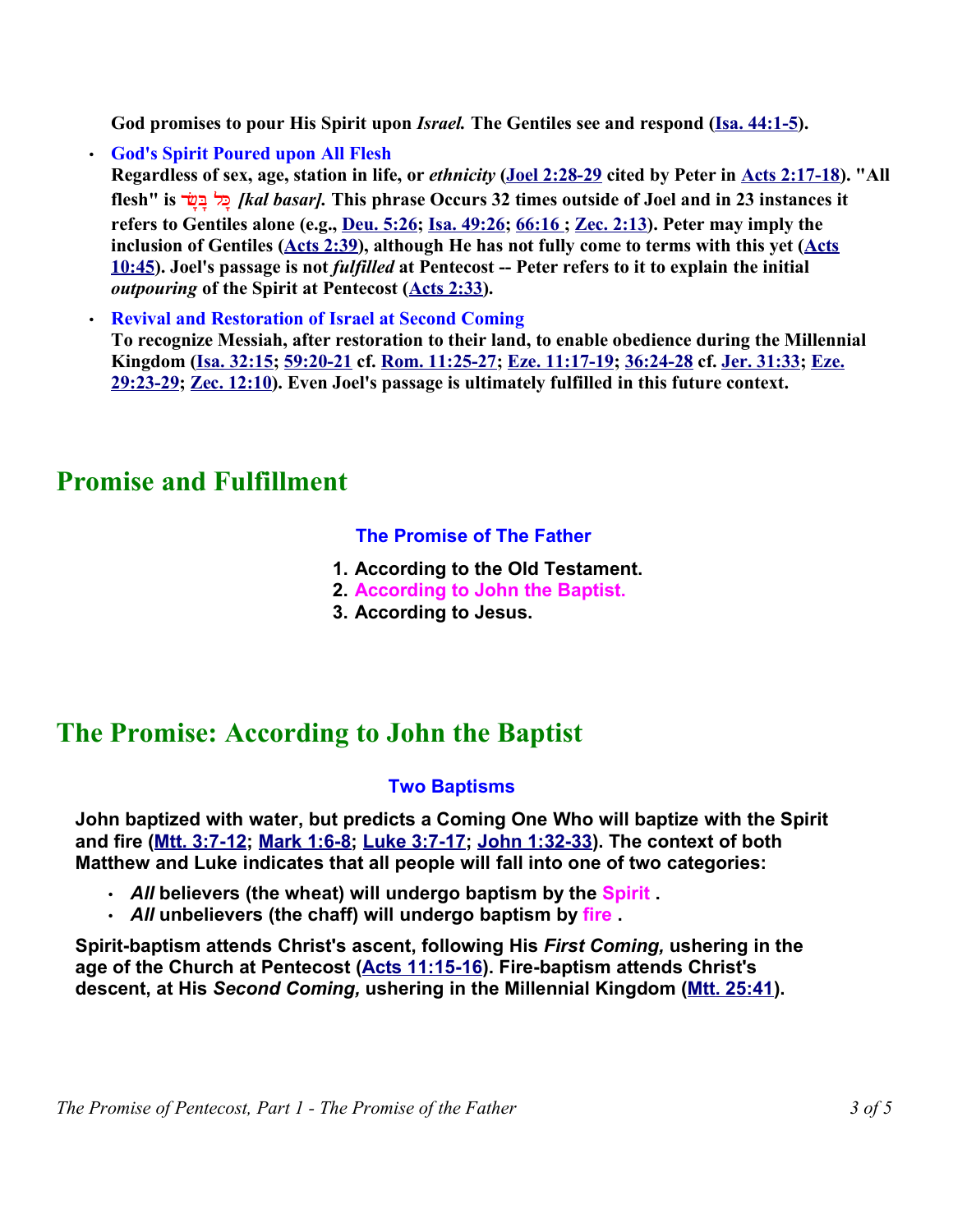God promises to pour His Spirit upon *Israel*. The Gentiles see and respond (Isa. 44:1-5).

• **God's Spirit Poured upon All Flesh** 

**Regardless of sex, age, station in life, or** *ethnicity* **(Joel 2:28-29 cited by Peter in Acts 2:17-18). "All flesh" is שר-ב- כל-***] kal basar].* **This phrase Occurs 32 times outside of Joel and in 23 instances it refers to Gentiles alone (e.g., Deu. 5:26; Isa. 49:26; 66:16 ; Zec. 2:13). Peter may imply the inclusion of Gentiles (Acts 2:39), although He has not fully come to terms with this yet (Acts 10:45). Joel's passage is not** *fulfilled* **at Pentecost -- Peter refers to it to explain the initial** *outpouring* **of the Spirit at Pentecost (Acts 2:33).** 

• **Revival and Restoration of Israel at Second Coming** 

**To recognize Messiah, after restoration to their land, to enable obedience during the Millennial Kingdom (Isa. 32:15; 59:20-21 cf. Rom. 11:25-27; Eze. 11:17-19; 36:24-28 cf. Jer. 31:33; Eze. 29:23-29; Zec. 12:10). Even Joel's passage is ultimately fulfilled in this future context.** 

# **Promise and Fulfillment**

### **The Promise of The Father**

- **1. According to the Old Testament.**
- **2. According to John the Baptist.**
- **3. According to Jesus.**

# **The Promise: According to John the Baptist**

### **Two Baptisms**

**John baptized with water, but predicts a Coming One Who will baptize with the Spirit and fire (Mtt. 3:7-12; Mark 1:6-8; Luke 3:7-17; John 1:32-33). The context of both Matthew and Luke indicates that all people will fall into one of two categories:**

- *All* **believers (the wheat) will undergo baptism by the Spirit .**
- *All* **unbelievers (the chaff) will undergo baptism by fire .**

**Spirit-baptism attends Christ's ascent, following His** *First Coming,* **ushering in the age of the Church at Pentecost (Acts 11:15-16). Fire-baptism attends Christ's descent, at His** *Second Coming,* **ushering in the Millennial Kingdom (Mtt. 25:41).**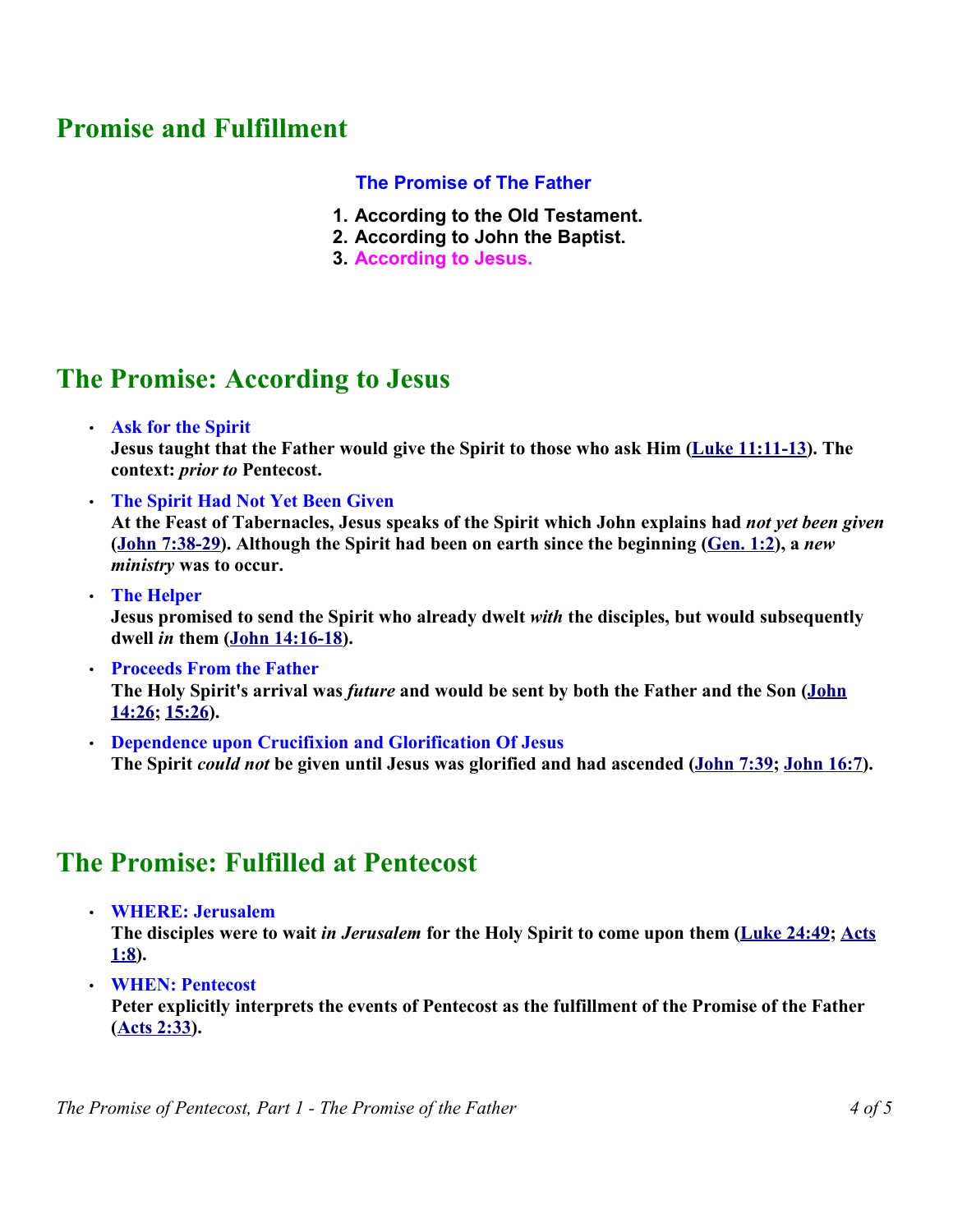# **Promise and Fulfillment**

### **The Promise of The Father**

- **1. According to the Old Testament.**
- **2. According to John the Baptist.**
- **3. According to Jesus.**

## **The Promise: According to Jesus**

• **Ask for the Spirit**

**Jesus taught that the Father would give the Spirit to those who ask Him (Luke 11:11-13). The context:** *prior to* **Pentecost.** 

- **The Spirit Had Not Yet Been Given At the Feast of Tabernacles, Jesus speaks of the Spirit which John explains had** *not yet been given* **(John 7:38-29). Although the Spirit had been on earth since the beginning (Gen. 1:2), a** *new ministry* **was to occur.**
- **The Helper Jesus promised to send the Spirit who already dwelt** *with* **the disciples, but would subsequently dwell** *in* **them (John 14:16-18).**
- **Proceeds From the Father The Holy Spirit's arrival was** *future* **and would be sent by both the Father and the Son (John 14:26; 15:26).**
- **Dependence upon Crucifixion and Glorification Of Jesus The Spirit** *could not* **be given until Jesus was glorified and had ascended (John 7:39; John 16:7).**

## **The Promise: Fulfilled at Pentecost**

• **WHERE: Jerusalem**

**The disciples were to wait** *in Jerusalem* **for the Holy Spirit to come upon them (Luke 24:49; Acts 1:8).** 

• **WHEN: Pentecost**

**Peter explicitly interprets the events of Pentecost as the fulfillment of the Promise of the Father (Acts 2:33).**